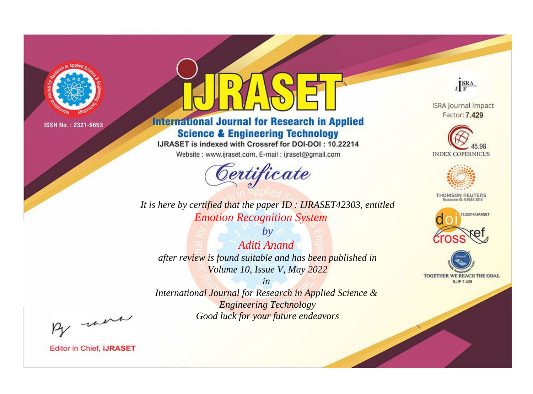

# **International Journal for Research in Applied Science & Engineering Technology**

IJRASET is indexed with Crossref for DOI-DOI: 10.22214

Website: www.ijraset.com, E-mail: ijraset@gmail.com



*It is here by certified that the paper ID : IJRASET42303, entitled Emotion Recognition System*

*by Aditi Anand after review is found suitable and has been published in Volume 10, Issue V, May 2022*

*in International Journal for Research in Applied Science & Engineering Technology Good luck for your future endeavors*



**ISRA Journal Impact** Factor: 7.429





**THOMSON REUTERS** 





By morn

**Editor in Chief, IJRASET**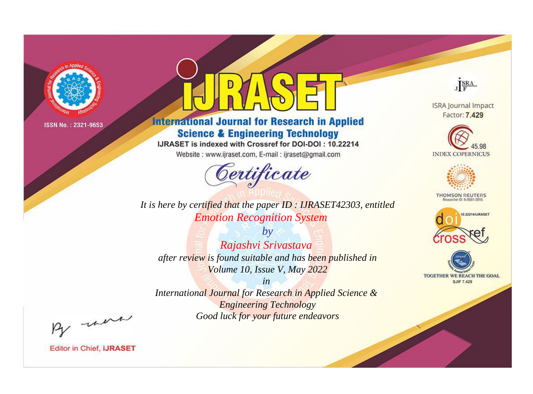

# **International Journal for Research in Applied Science & Engineering Technology**

IJRASET is indexed with Crossref for DOI-DOI: 10.22214

Website: www.ijraset.com, E-mail: ijraset@gmail.com



**ISRA Journal Impact** Factor: 7.429

JERA

**INDEX COPERNICUS** 



**THOMSON REUTERS** 



TOGETHER WE REACH THE GOAL **SJIF 7.429** 

*It is here by certified that the paper ID : IJRASET42303, entitled Emotion Recognition System*

*by Rajashvi Srivastava after review is found suitable and has been published in Volume 10, Issue V, May 2022*

*in International Journal for Research in Applied Science &* 

*Engineering Technology Good luck for your future endeavors*

By morn

**Editor in Chief, IJRASET**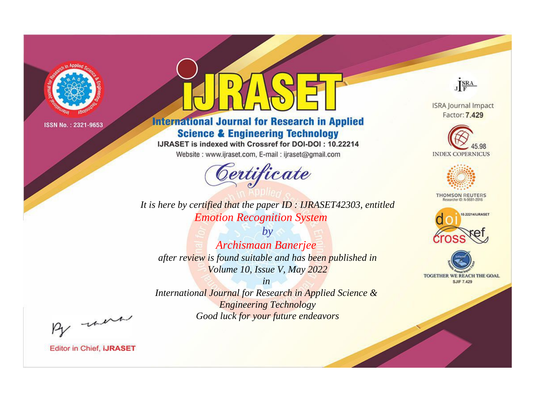

# **International Journal for Research in Applied Science & Engineering Technology**

IJRASET is indexed with Crossref for DOI-DOI: 10.22214

Website: www.ijraset.com, E-mail: ijraset@gmail.com



JERA

**ISRA Journal Impact** Factor: 7.429





**THOMSON REUTERS** 



TOGETHER WE REACH THE GOAL **SJIF 7.429** 

*It is here by certified that the paper ID : IJRASET42303, entitled Emotion Recognition System*

*by Archismaan Banerjee after review is found suitable and has been published in Volume 10, Issue V, May 2022*

*in* 

*International Journal for Research in Applied Science & Engineering Technology Good luck for your future endeavors*

By morn

**Editor in Chief, IJRASET**